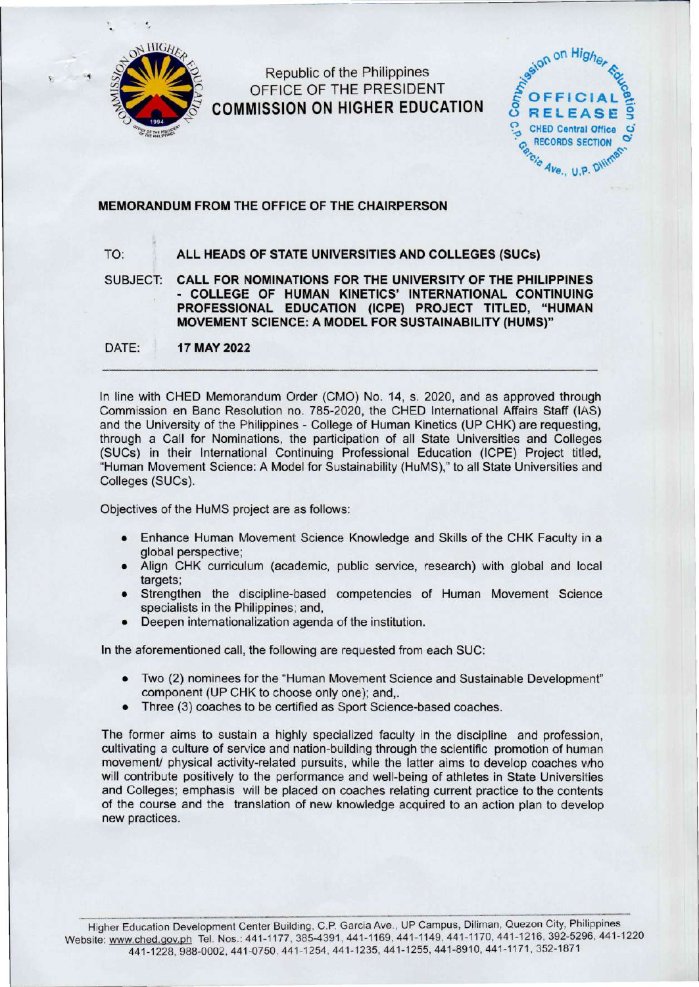

Republic of the Philippines OFFICE OF THE PRESIDENT **COMMISSION ON HIGHER EDUCATION** 



## **MEMORANDUM FROM THE OFFICE OF THE CHAIRPERSON**

## TO: **ALL HEADS OF STATE UNIVERSITIES AND COLLEGES (SUCs)**

SUBJECT: **CALL FOR NOMINATIONS FOR THE UNIVERSITY OF THE PHILIPPINES**  - **COLLEGE OF HUMAN KINETICS' INTERNATIONAL CONTINUING PROFESSIONAL EDUCATION (ICPE) PROJECT TITLED, "HUMAN MOVEMENT SCIENCE: A MODEL FOR SUSTAINABILITY (HUMS)"** 

DATE: **17 MAY 2022** 

In line with CHED Memorandum Order (CMO) No. 14, s. 2020, and as approved through Commission en Banc Resolution no. 785-2020, the CHED International Affairs Staff (IAS) and the University of the Philippines - College of Human Kinetics (UP CHK) are requesting, through a Call for Nominations, the participation of all State Universities and Colleges (SUCs) in their International Continuing Professional Education (ICPE) Project titled, "Human Movement Science: A Model for Sustainability (HuMS)," to all State Universities and Colleges (SUCs).

Objectives of the HuMS project are as follows:

- Enhance Human Movement Science Knowledge and Skills of the CHK Faculty in a global perspective;
- Align CHK curriculum (academic, public service, research) with global and local targets;
- Strengthen the discipline-based competencies of Human Movement Science specialists in the Philippines; and,
- Deepen internationalization agenda of the institution.

In the aforementioned call, the following are requested from each SUC:

- Two (2) nominees for the "Human Movement Science and Sustainable Development" component (UP CHK to choose only one); and,.
- Three (3) coaches to be certified as Sport Science-based coaches.

The former aims to sustain a highly specialized faculty in the discipline and profession, cultivating a culture of service and nation-building through the scientific promotion of human movement/ physical activity-related pursuits, while the latter aims to develop coaches who will contribute positively to the performance and well-being of athletes in State Universities and Colleges; emphasis will be placed on coaches relating current practice to the contents of the course and the translation of new knowledge acquired to an action plan to develop new practices.